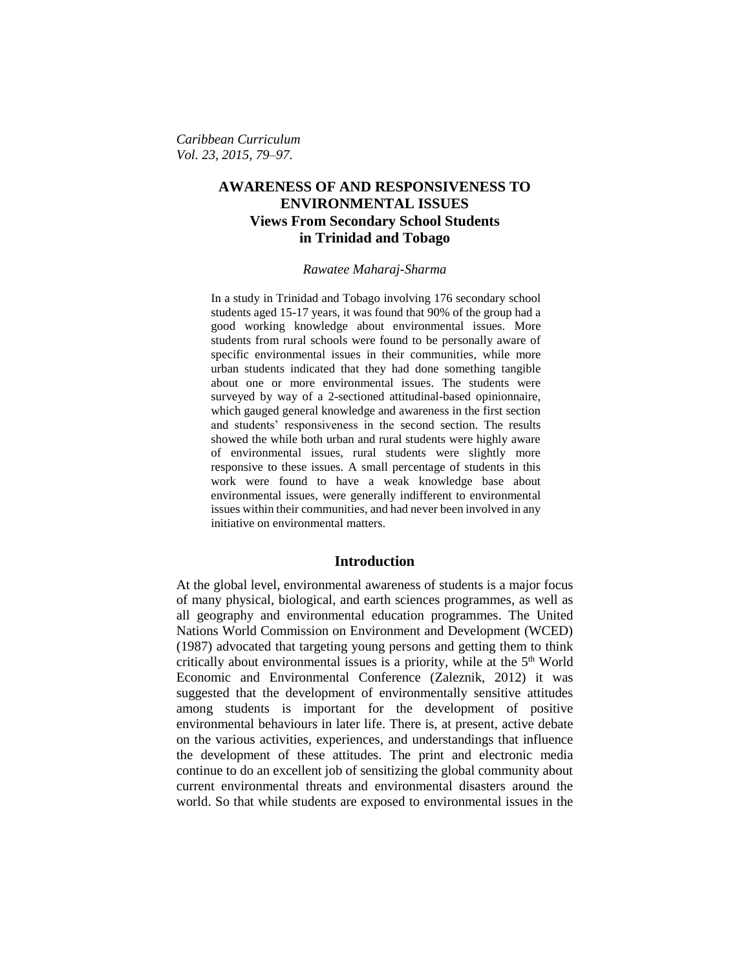*Caribbean Curriculum Vol. 23, 2015, 79–97.*

# **AWARENESS OF AND RESPONSIVENESS TO ENVIRONMENTAL ISSUES Views From Secondary School Students in Trinidad and Tobago**

### *Rawatee Maharaj-Sharma*

In a study in Trinidad and Tobago involving 176 secondary school students aged 15-17 years, it was found that 90% of the group had a good working knowledge about environmental issues. More students from rural schools were found to be personally aware of specific environmental issues in their communities, while more urban students indicated that they had done something tangible about one or more environmental issues. The students were surveyed by way of a 2-sectioned attitudinal-based opinionnaire, which gauged general knowledge and awareness in the first section and students' responsiveness in the second section. The results showed the while both urban and rural students were highly aware of environmental issues, rural students were slightly more responsive to these issues. A small percentage of students in this work were found to have a weak knowledge base about environmental issues, were generally indifferent to environmental issues within their communities, and had never been involved in any initiative on environmental matters.

### **Introduction**

At the global level, environmental awareness of students is a major focus of many physical, biological, and earth sciences programmes, as well as all geography and environmental education programmes. The United Nations World Commission on Environment and Development (WCED) (1987) advocated that targeting young persons and getting them to think critically about environmental issues is a priority, while at the 5th World Economic and Environmental Conference (Zaleznik, 2012) it was suggested that the development of environmentally sensitive attitudes among students is important for the development of positive environmental behaviours in later life. There is, at present, active debate on the various activities, experiences, and understandings that influence the development of these attitudes. The print and electronic media continue to do an excellent job of sensitizing the global community about current environmental threats and environmental disasters around the world. So that while students are exposed to environmental issues in the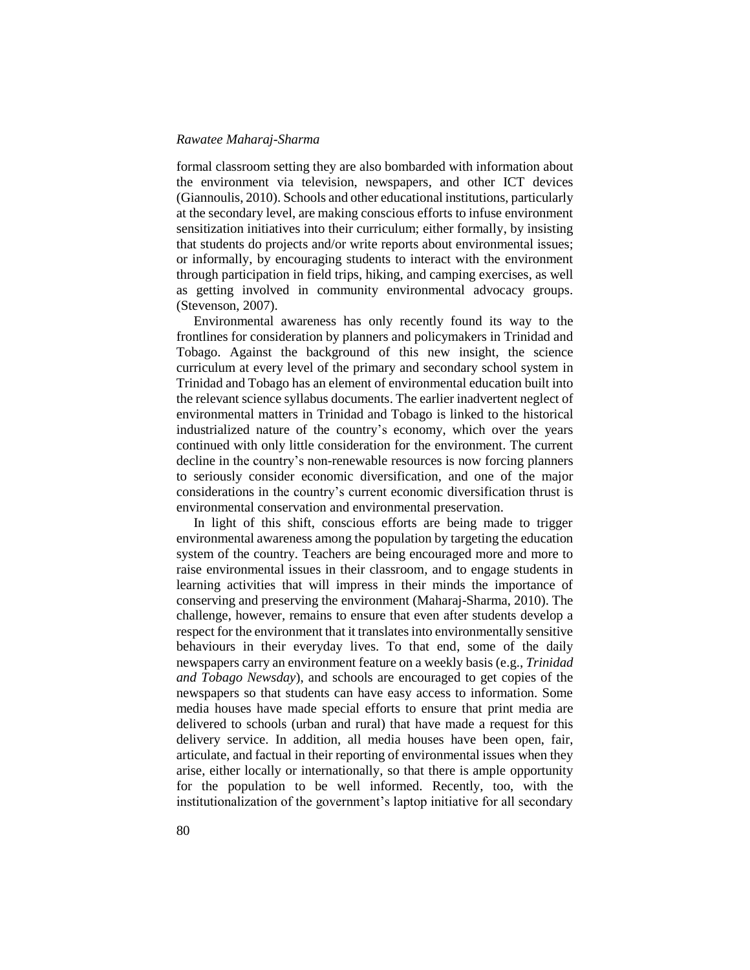formal classroom setting they are also bombarded with information about the environment via television, newspapers, and other ICT devices (Giannoulis, 2010). Schools and other educational institutions, particularly at the secondary level, are making conscious efforts to infuse environment sensitization initiatives into their curriculum; either formally, by insisting that students do projects and/or write reports about environmental issues; or informally, by encouraging students to interact with the environment through participation in field trips, hiking, and camping exercises, as well as getting involved in community environmental advocacy groups. (Stevenson, 2007).

Environmental awareness has only recently found its way to the frontlines for consideration by planners and policymakers in Trinidad and Tobago. Against the background of this new insight, the science curriculum at every level of the primary and secondary school system in Trinidad and Tobago has an element of environmental education built into the relevant science syllabus documents. The earlier inadvertent neglect of environmental matters in Trinidad and Tobago is linked to the historical industrialized nature of the country's economy, which over the years continued with only little consideration for the environment. The current decline in the country's non-renewable resources is now forcing planners to seriously consider economic diversification, and one of the major considerations in the country's current economic diversification thrust is environmental conservation and environmental preservation.

In light of this shift, conscious efforts are being made to trigger environmental awareness among the population by targeting the education system of the country. Teachers are being encouraged more and more to raise environmental issues in their classroom, and to engage students in learning activities that will impress in their minds the importance of conserving and preserving the environment (Maharaj-Sharma, 2010). The challenge, however, remains to ensure that even after students develop a respect for the environment that it translates into environmentally sensitive behaviours in their everyday lives. To that end, some of the daily newspapers carry an environment feature on a weekly basis (e.g., *Trinidad and Tobago Newsday*), and schools are encouraged to get copies of the newspapers so that students can have easy access to information. Some media houses have made special efforts to ensure that print media are delivered to schools (urban and rural) that have made a request for this delivery service. In addition, all media houses have been open, fair, articulate, and factual in their reporting of environmental issues when they arise, either locally or internationally, so that there is ample opportunity for the population to be well informed. Recently, too, with the institutionalization of the government's laptop initiative for all secondary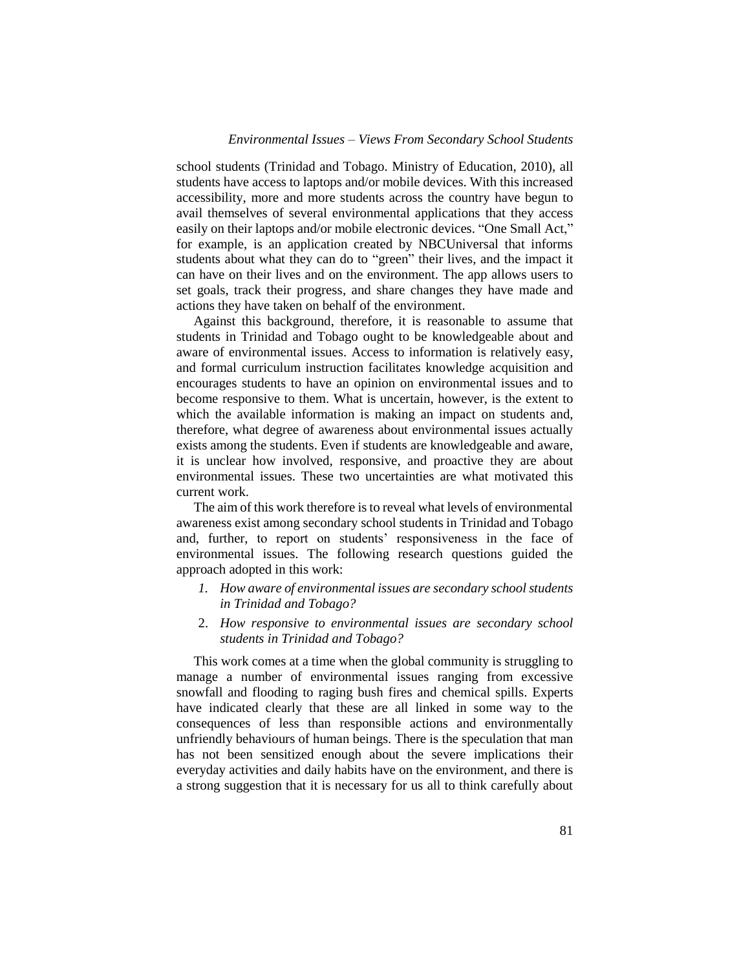school students (Trinidad and Tobago. Ministry of Education, 2010), all students have access to laptops and/or mobile devices. With this increased accessibility, more and more students across the country have begun to avail themselves of several environmental applications that they access easily on their laptops and/or mobile electronic devices. "One Small Act," for example, is an application created by NBCUniversal that informs students about what they can do to "green" their lives, and the impact it can have on their lives and on the environment. The app allows users to set goals, track their progress, and share changes they have made and actions they have taken on behalf of the environment.

Against this background, therefore, it is reasonable to assume that students in Trinidad and Tobago ought to be knowledgeable about and aware of environmental issues. Access to information is relatively easy, and formal curriculum instruction facilitates knowledge acquisition and encourages students to have an opinion on environmental issues and to become responsive to them. What is uncertain, however, is the extent to which the available information is making an impact on students and, therefore, what degree of awareness about environmental issues actually exists among the students. Even if students are knowledgeable and aware, it is unclear how involved, responsive, and proactive they are about environmental issues. These two uncertainties are what motivated this current work.

The aim of this work therefore is to reveal what levels of environmental awareness exist among secondary school students in Trinidad and Tobago and, further, to report on students' responsiveness in the face of environmental issues. The following research questions guided the approach adopted in this work:

- *1. How aware of environmental issues are secondary school students in Trinidad and Tobago?*
- 2. *How responsive to environmental issues are secondary school students in Trinidad and Tobago?*

This work comes at a time when the global community is struggling to manage a number of environmental issues ranging from excessive snowfall and flooding to raging bush fires and chemical spills. Experts have indicated clearly that these are all linked in some way to the consequences of less than responsible actions and environmentally unfriendly behaviours of human beings. There is the speculation that man has not been sensitized enough about the severe implications their everyday activities and daily habits have on the environment, and there is a strong suggestion that it is necessary for us all to think carefully about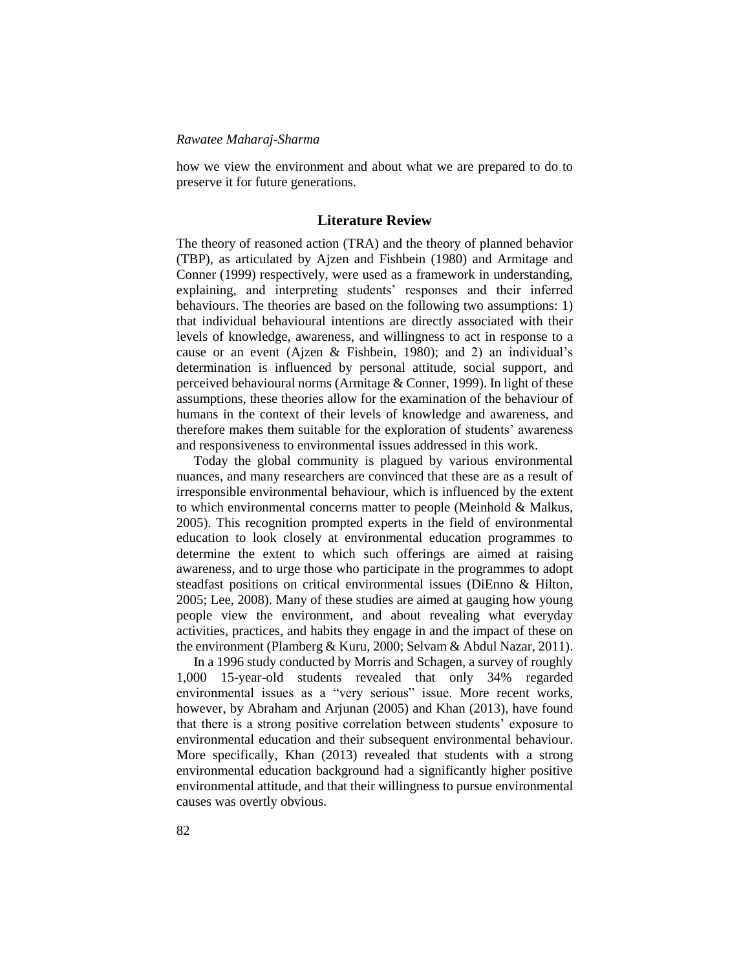how we view the environment and about what we are prepared to do to preserve it for future generations.

### **Literature Review**

The theory of reasoned action (TRA) and the theory of planned behavior (TBP), as articulated by Ajzen and Fishbein (1980) and Armitage and Conner (1999) respectively, were used as a framework in understanding, explaining, and interpreting students' responses and their inferred behaviours. The theories are based on the following two assumptions: 1) that individual behavioural intentions are directly associated with their levels of knowledge, awareness, and willingness to act in response to a cause or an event (Ajzen & Fishbein, 1980); and 2) an individual's determination is influenced by personal attitude, social support, and perceived behavioural norms (Armitage & Conner, 1999). In light of these assumptions, these theories allow for the examination of the behaviour of humans in the context of their levels of knowledge and awareness, and therefore makes them suitable for the exploration of students' awareness and responsiveness to environmental issues addressed in this work.

Today the global community is plagued by various environmental nuances, and many researchers are convinced that these are as a result of irresponsible environmental behaviour, which is influenced by the extent to which environmental concerns matter to people (Meinhold & Malkus, 2005). This recognition prompted experts in the field of environmental education to look closely at environmental education programmes to determine the extent to which such offerings are aimed at raising awareness, and to urge those who participate in the programmes to adopt steadfast positions on critical environmental issues (DiEnno & Hilton, 2005; Lee, 2008). Many of these studies are aimed at gauging how young people view the environment, and about revealing what everyday activities, practices, and habits they engage in and the impact of these on the environment (Plamberg & Kuru, 2000; Selvam & Abdul Nazar, 2011).

In a 1996 study conducted by Morris and Schagen, a survey of roughly 1,000 15-year-old students revealed that only 34% regarded environmental issues as a "very serious" issue. More recent works, however, by Abraham and Arjunan (2005) and Khan (2013), have found that there is a strong positive correlation between students' exposure to environmental education and their subsequent environmental behaviour. More specifically, Khan (2013) revealed that students with a strong environmental education background had a significantly higher positive environmental attitude, and that their willingness to pursue environmental causes was overtly obvious.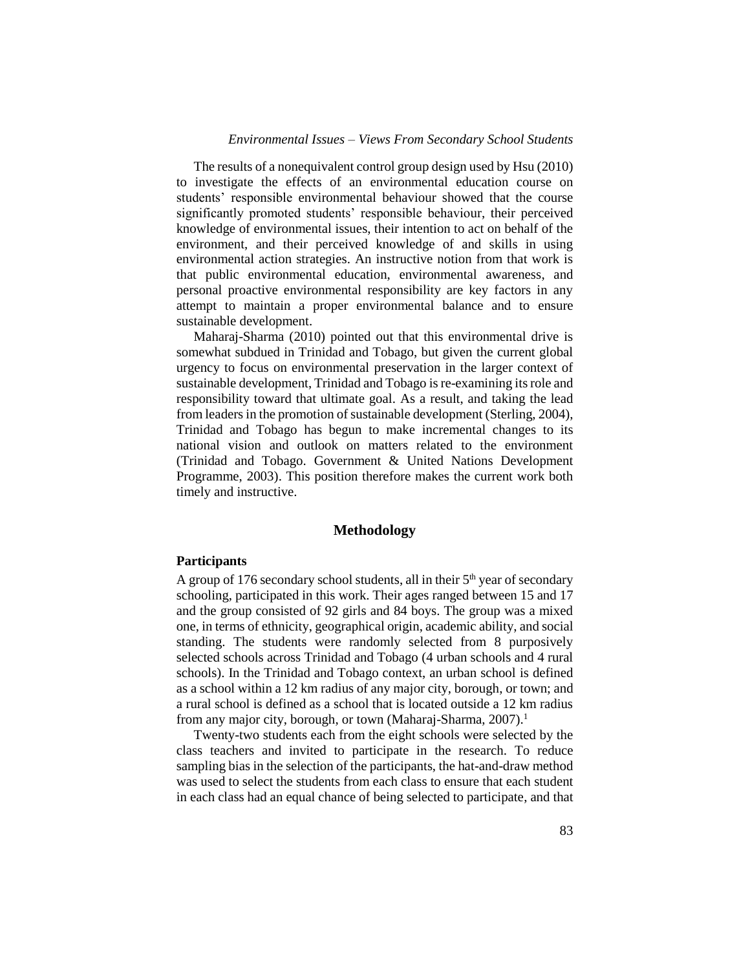The results of a nonequivalent control group design used by Hsu (2010) to investigate the effects of an environmental education course on students' responsible environmental behaviour showed that the course significantly promoted students' responsible behaviour, their perceived knowledge of environmental issues, their intention to act on behalf of the environment, and their perceived knowledge of and skills in using environmental action strategies. An instructive notion from that work is that public environmental education, environmental awareness, and personal proactive environmental responsibility are key factors in any attempt to maintain a proper environmental balance and to ensure sustainable development.

Maharaj-Sharma (2010) pointed out that this environmental drive is somewhat subdued in Trinidad and Tobago, but given the current global urgency to focus on environmental preservation in the larger context of sustainable development, Trinidad and Tobago is re-examining its role and responsibility toward that ultimate goal. As a result, and taking the lead from leaders in the promotion of sustainable development (Sterling, 2004), Trinidad and Tobago has begun to make incremental changes to its national vision and outlook on matters related to the environment (Trinidad and Tobago. Government & United Nations Development Programme, 2003). This position therefore makes the current work both timely and instructive.

### **Methodology**

#### **Participants**

A group of 176 secondary school students, all in their  $5<sup>th</sup>$  year of secondary schooling, participated in this work. Their ages ranged between 15 and 17 and the group consisted of 92 girls and 84 boys. The group was a mixed one, in terms of ethnicity, geographical origin, academic ability, and social standing. The students were randomly selected from 8 purposively selected schools across Trinidad and Tobago (4 urban schools and 4 rural schools). In the Trinidad and Tobago context, an urban school is defined as a school within a 12 km radius of any major city, borough, or town; and a rural school is defined as a school that is located outside a 12 km radius from any major city, borough, or town (Maharaj-Sharma, 2007).<sup>1</sup>

Twenty-two students each from the eight schools were selected by the class teachers and invited to participate in the research. To reduce sampling bias in the selection of the participants, the hat-and-draw method was used to select the students from each class to ensure that each student in each class had an equal chance of being selected to participate, and that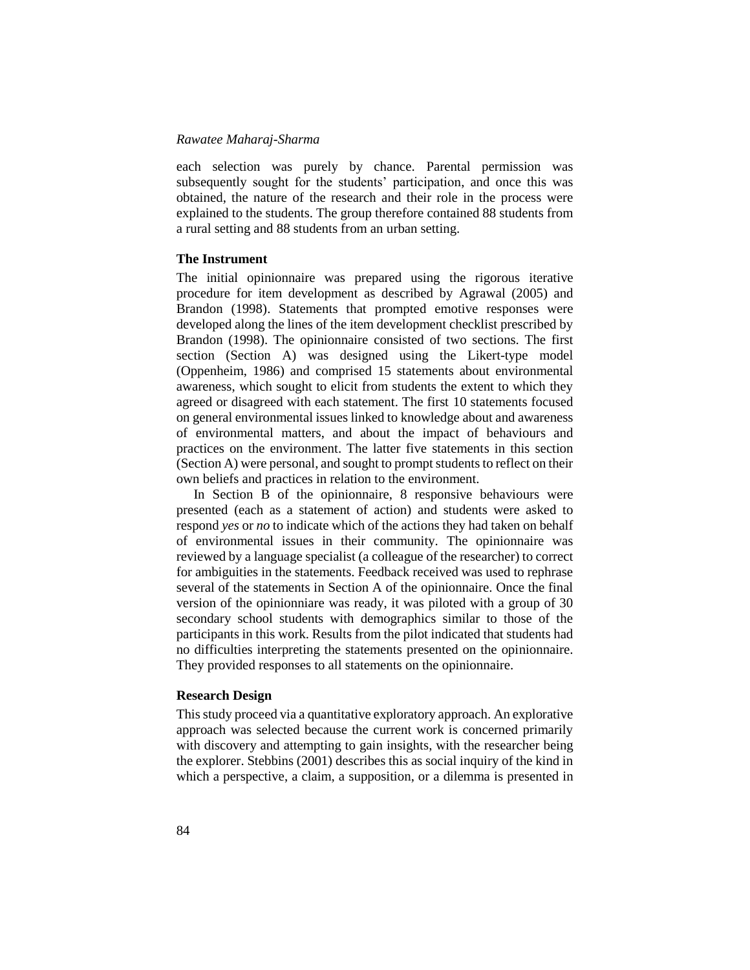each selection was purely by chance. Parental permission was subsequently sought for the students' participation, and once this was obtained, the nature of the research and their role in the process were explained to the students. The group therefore contained 88 students from a rural setting and 88 students from an urban setting.

### **The Instrument**

The initial opinionnaire was prepared using the rigorous iterative procedure for item development as described by Agrawal (2005) and Brandon (1998). Statements that prompted emotive responses were developed along the lines of the item development checklist prescribed by Brandon (1998). The opinionnaire consisted of two sections. The first section (Section A) was designed using the Likert-type model (Oppenheim, 1986) and comprised 15 statements about environmental awareness, which sought to elicit from students the extent to which they agreed or disagreed with each statement. The first 10 statements focused on general environmental issues linked to knowledge about and awareness of environmental matters, and about the impact of behaviours and practices on the environment. The latter five statements in this section (Section A) were personal, and sought to prompt students to reflect on their own beliefs and practices in relation to the environment.

In Section B of the opinionnaire, 8 responsive behaviours were presented (each as a statement of action) and students were asked to respond *yes* or *no* to indicate which of the actions they had taken on behalf of environmental issues in their community. The opinionnaire was reviewed by a language specialist (a colleague of the researcher) to correct for ambiguities in the statements. Feedback received was used to rephrase several of the statements in Section A of the opinionnaire. Once the final version of the opinionniare was ready, it was piloted with a group of 30 secondary school students with demographics similar to those of the participants in this work. Results from the pilot indicated that students had no difficulties interpreting the statements presented on the opinionnaire. They provided responses to all statements on the opinionnaire.

### **Research Design**

This study proceed via a quantitative exploratory approach. An explorative approach was selected because the current work is concerned primarily with discovery and attempting to gain insights, with the researcher being the explorer. Stebbins (2001) describes this as social inquiry of the kind in which a perspective, a claim, a supposition, or a dilemma is presented in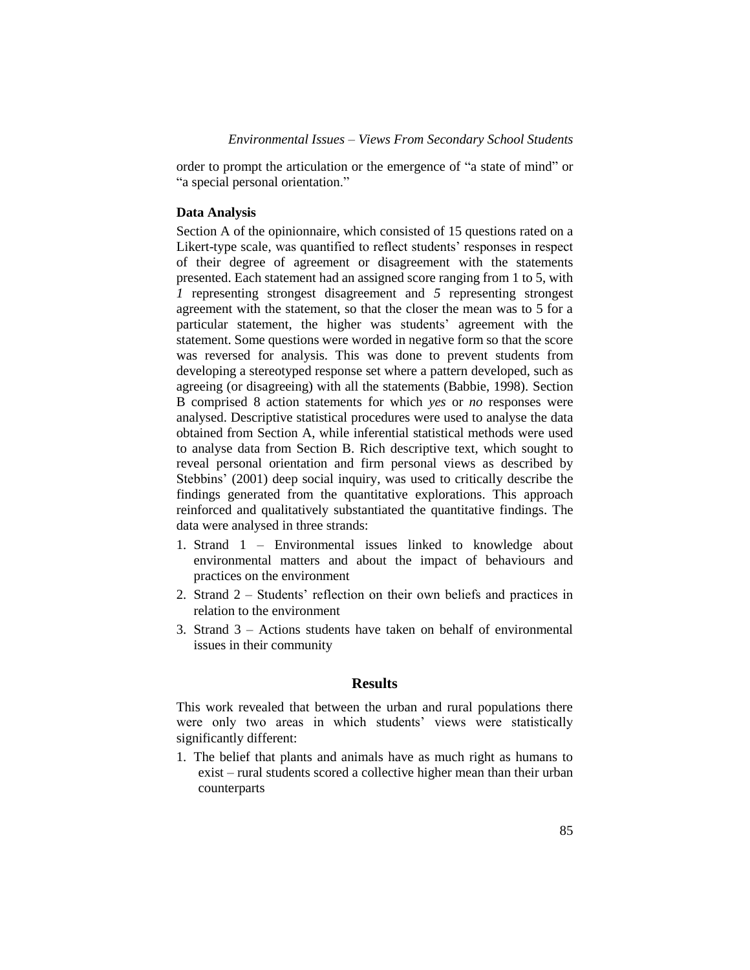order to prompt the articulation or the emergence of "a state of mind" or "a special personal orientation."

### **Data Analysis**

Section A of the opinionnaire, which consisted of 15 questions rated on a Likert-type scale, was quantified to reflect students' responses in respect of their degree of agreement or disagreement with the statements presented. Each statement had an assigned score ranging from 1 to 5, with *1* representing strongest disagreement and *5* representing strongest agreement with the statement, so that the closer the mean was to 5 for a particular statement, the higher was students' agreement with the statement. Some questions were worded in negative form so that the score was reversed for analysis. This was done to prevent students from developing a stereotyped response set where a pattern developed, such as agreeing (or disagreeing) with all the statements (Babbie, 1998). Section B comprised 8 action statements for which *yes* or *no* responses were analysed. Descriptive statistical procedures were used to analyse the data obtained from Section A, while inferential statistical methods were used to analyse data from Section B. Rich descriptive text, which sought to reveal personal orientation and firm personal views as described by Stebbins' (2001) deep social inquiry, was used to critically describe the findings generated from the quantitative explorations. This approach reinforced and qualitatively substantiated the quantitative findings. The data were analysed in three strands:

- 1. Strand 1 Environmental issues linked to knowledge about environmental matters and about the impact of behaviours and practices on the environment
- 2. Strand 2 Students' reflection on their own beliefs and practices in relation to the environment
- 3. Strand 3 Actions students have taken on behalf of environmental issues in their community

### **Results**

This work revealed that between the urban and rural populations there were only two areas in which students' views were statistically significantly different:

1. The belief that plants and animals have as much right as humans to exist – rural students scored a collective higher mean than their urban counterparts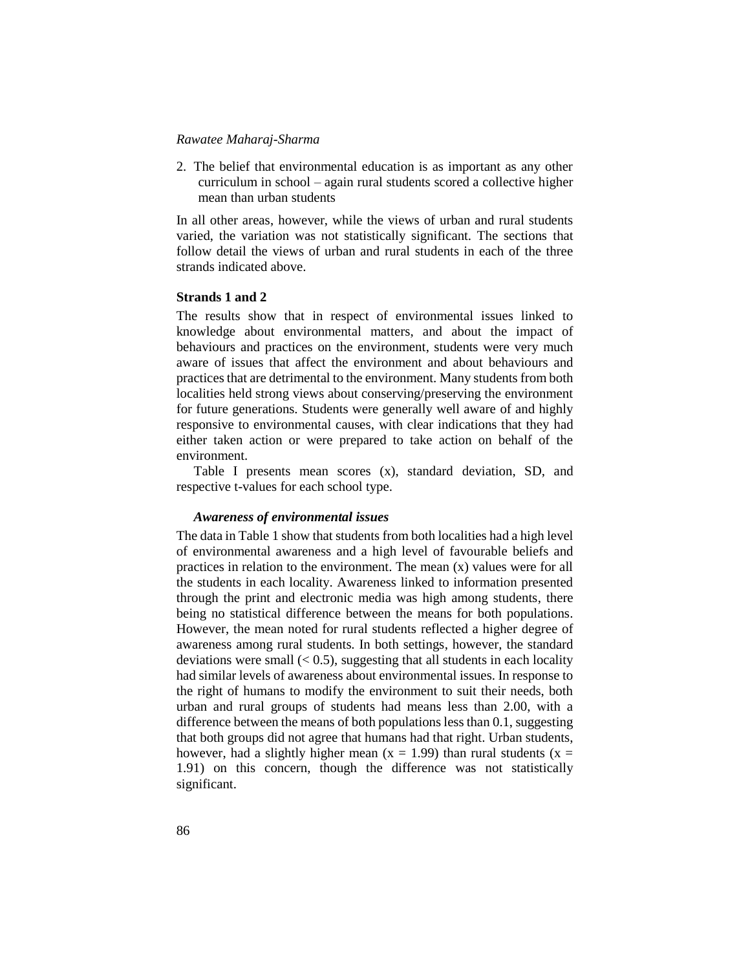2. The belief that environmental education is as important as any other curriculum in school – again rural students scored a collective higher mean than urban students

In all other areas, however, while the views of urban and rural students varied, the variation was not statistically significant. The sections that follow detail the views of urban and rural students in each of the three strands indicated above.

### **Strands 1 and 2**

The results show that in respect of environmental issues linked to knowledge about environmental matters, and about the impact of behaviours and practices on the environment, students were very much aware of issues that affect the environment and about behaviours and practices that are detrimental to the environment. Many students from both localities held strong views about conserving/preserving the environment for future generations. Students were generally well aware of and highly responsive to environmental causes, with clear indications that they had either taken action or were prepared to take action on behalf of the environment.

Table I presents mean scores (x), standard deviation, SD, and respective t-values for each school type.

### *Awareness of environmental issues*

The data in Table 1 show that students from both localities had a high level of environmental awareness and a high level of favourable beliefs and practices in relation to the environment. The mean (x) values were for all the students in each locality. Awareness linked to information presented through the print and electronic media was high among students, there being no statistical difference between the means for both populations. However, the mean noted for rural students reflected a higher degree of awareness among rural students. In both settings, however, the standard deviations were small  $(< 0.5)$ , suggesting that all students in each locality had similar levels of awareness about environmental issues. In response to the right of humans to modify the environment to suit their needs, both urban and rural groups of students had means less than 2.00, with a difference between the means of both populations less than 0.1, suggesting that both groups did not agree that humans had that right. Urban students, however, had a slightly higher mean ( $x = 1.99$ ) than rural students ( $x =$ 1.91) on this concern, though the difference was not statistically significant.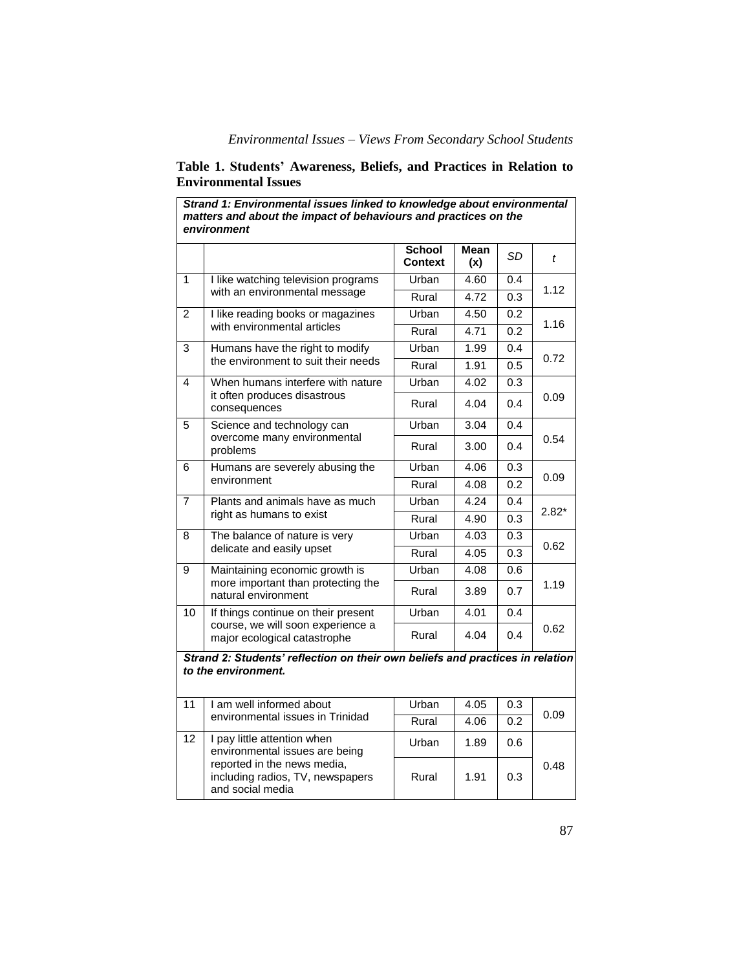| Strand 1: Environmental issues linked to knowledge about environmental<br>matters and about the impact of behaviours and practices on the<br>environment |                                                                                                          |                   |             |                  |         |  |  |
|----------------------------------------------------------------------------------------------------------------------------------------------------------|----------------------------------------------------------------------------------------------------------|-------------------|-------------|------------------|---------|--|--|
|                                                                                                                                                          |                                                                                                          | School<br>Context | Mean<br>(x) | SD               | t       |  |  |
| 1                                                                                                                                                        | I like watching television programs<br>with an environmental message                                     | Urban             | 4.60        | 0.4              |         |  |  |
|                                                                                                                                                          |                                                                                                          | Rural             | 4.72        | 0.3              | 1.12    |  |  |
| 2                                                                                                                                                        | I like reading books or magazines<br>with environmental articles                                         | Urban             | 4.50        | 0.2              |         |  |  |
|                                                                                                                                                          |                                                                                                          | Rural             | 4.71        | 0.2              | 1.16    |  |  |
| 3                                                                                                                                                        | Humans have the right to modify<br>the environment to suit their needs                                   | Urban             | 1.99        | 0.4              |         |  |  |
|                                                                                                                                                          |                                                                                                          | Rural             | 1.91        | 0.5              | 0.72    |  |  |
| 4                                                                                                                                                        | When humans interfere with nature<br>it often produces disastrous<br>consequences                        | Urban             | 4.02        | 0.3              |         |  |  |
|                                                                                                                                                          |                                                                                                          | Rural             | 4.04        | 0.4              | 0.09    |  |  |
| 5                                                                                                                                                        | Science and technology can                                                                               | Urban             | 3.04        | 0.4              |         |  |  |
|                                                                                                                                                          | overcome many environmental<br>problems                                                                  | Rural             | 3.00        | 0.4              | 0.54    |  |  |
| 6                                                                                                                                                        | Humans are severely abusing the<br>environment                                                           | Urban             | 4.06        | 0.3              | 0.09    |  |  |
|                                                                                                                                                          |                                                                                                          | Rural             | 4.08        | 0.2              |         |  |  |
| $\overline{7}$                                                                                                                                           | Plants and animals have as much<br>right as humans to exist                                              | Urban             | 4.24        | 0.4              | $2.82*$ |  |  |
|                                                                                                                                                          |                                                                                                          | Rural             | 4.90        | $\overline{0.3}$ |         |  |  |
| 8                                                                                                                                                        | The balance of nature is very<br>delicate and easily upset                                               | Urban             | 4.03        | 0.3              | 0.62    |  |  |
|                                                                                                                                                          |                                                                                                          | Rural             | 4.05        | 0.3              |         |  |  |
| 9                                                                                                                                                        | Maintaining economic growth is                                                                           | Urban             | 4.08        | 0.6              |         |  |  |
|                                                                                                                                                          | more important than protecting the<br>natural environment                                                | Rural             | 3.89        | 0.7              | 1.19    |  |  |
| 10                                                                                                                                                       | If things continue on their present<br>course, we will soon experience a<br>major ecological catastrophe | Urban             | 4.01        | 0.4              |         |  |  |
|                                                                                                                                                          |                                                                                                          | Rural             | 4.04        | 0.4              | 0.62    |  |  |
| Strand 2: Students' reflection on their own beliefs and practices in relation<br>to the environment.                                                     |                                                                                                          |                   |             |                  |         |  |  |
| 11                                                                                                                                                       | I am well informed about<br>environmental issues in Trinidad                                             | Urban             | 4.05        | 0.3              | 0.09    |  |  |
|                                                                                                                                                          |                                                                                                          | Rural             | 4.06        | 0.2              |         |  |  |
| $\overline{12}$                                                                                                                                          | I pay little attention when<br>environmental issues are being                                            | Urban             | 1.89        | 0.6              |         |  |  |
|                                                                                                                                                          | reported in the news media,<br>including radios, TV, newspapers<br>and social media                      | Rural             | 1.91        | 0.3              | 0.48    |  |  |

# **Table 1. Students' Awareness, Beliefs, and Practices in Relation to Environmental Issues**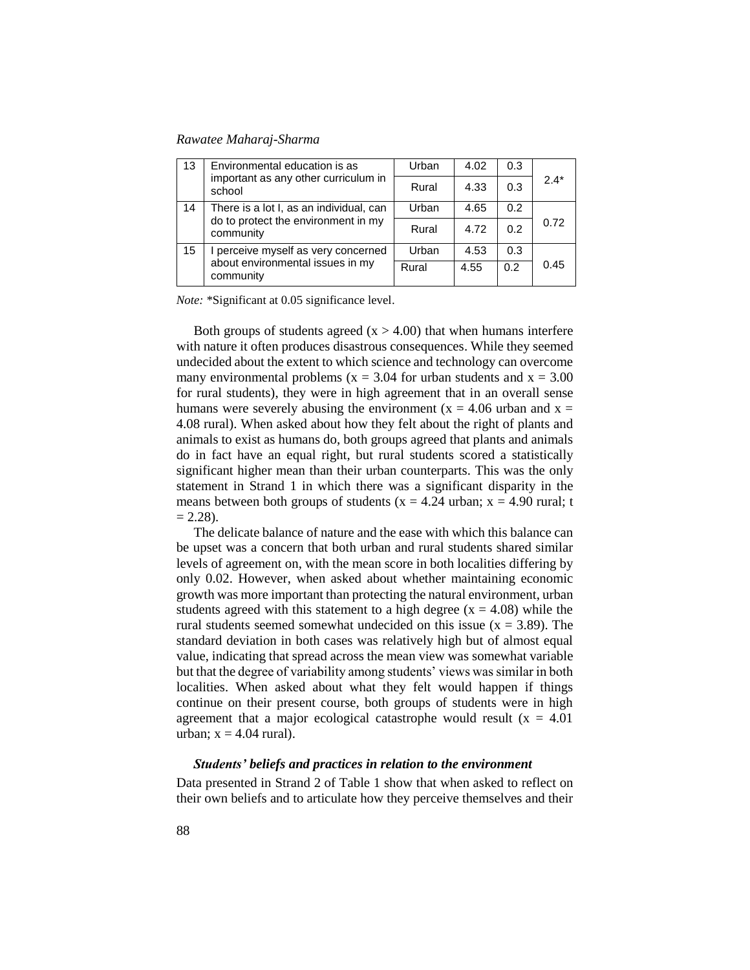| 13                                                                                                | Environmental education is as<br>important as any other curriculum in<br>school | Urban | 4.02 | 0.3           |        |
|---------------------------------------------------------------------------------------------------|---------------------------------------------------------------------------------|-------|------|---------------|--------|
|                                                                                                   |                                                                                 | Rural | 4.33 | 0.3           | $2.4*$ |
| 14<br>There is a lot I, as an individual, can<br>do to protect the environment in my<br>community | Urban                                                                           | 4.65  | 0.2  |               |        |
|                                                                                                   |                                                                                 | Rural | 4.72 | 0.2           | 0.72   |
| 15                                                                                                | I perceive myself as very concerned                                             | Urban | 4.53 | 0.3           |        |
|                                                                                                   | about environmental issues in my<br>community                                   | Rural | 4.55 | $0.2^{\circ}$ | 0.45   |

*Note:* \*Significant at 0.05 significance level.

Both groups of students agreed  $(x > 4.00)$  that when humans interfere with nature it often produces disastrous consequences. While they seemed undecided about the extent to which science and technology can overcome many environmental problems ( $x = 3.04$  for urban students and  $x = 3.00$ for rural students), they were in high agreement that in an overall sense humans were severely abusing the environment ( $x = 4.06$  urban and  $x =$ 4.08 rural). When asked about how they felt about the right of plants and animals to exist as humans do, both groups agreed that plants and animals do in fact have an equal right, but rural students scored a statistically significant higher mean than their urban counterparts. This was the only statement in Strand 1 in which there was a significant disparity in the means between both groups of students ( $x = 4.24$  urban;  $x = 4.90$  rural; t  $= 2.28$ ).

The delicate balance of nature and the ease with which this balance can be upset was a concern that both urban and rural students shared similar levels of agreement on, with the mean score in both localities differing by only 0.02. However, when asked about whether maintaining economic growth was more important than protecting the natural environment, urban students agreed with this statement to a high degree  $(x = 4.08)$  while the rural students seemed somewhat undecided on this issue  $(x = 3.89)$ . The standard deviation in both cases was relatively high but of almost equal value, indicating that spread across the mean view was somewhat variable but that the degree of variability among students' views was similar in both localities. When asked about what they felt would happen if things continue on their present course, both groups of students were in high agreement that a major ecological catastrophe would result  $(x = 4.01)$ urban;  $x = 4.04$  rural).

### *Students' beliefs and practices in relation to the environment*

Data presented in Strand 2 of Table 1 show that when asked to reflect on their own beliefs and to articulate how they perceive themselves and their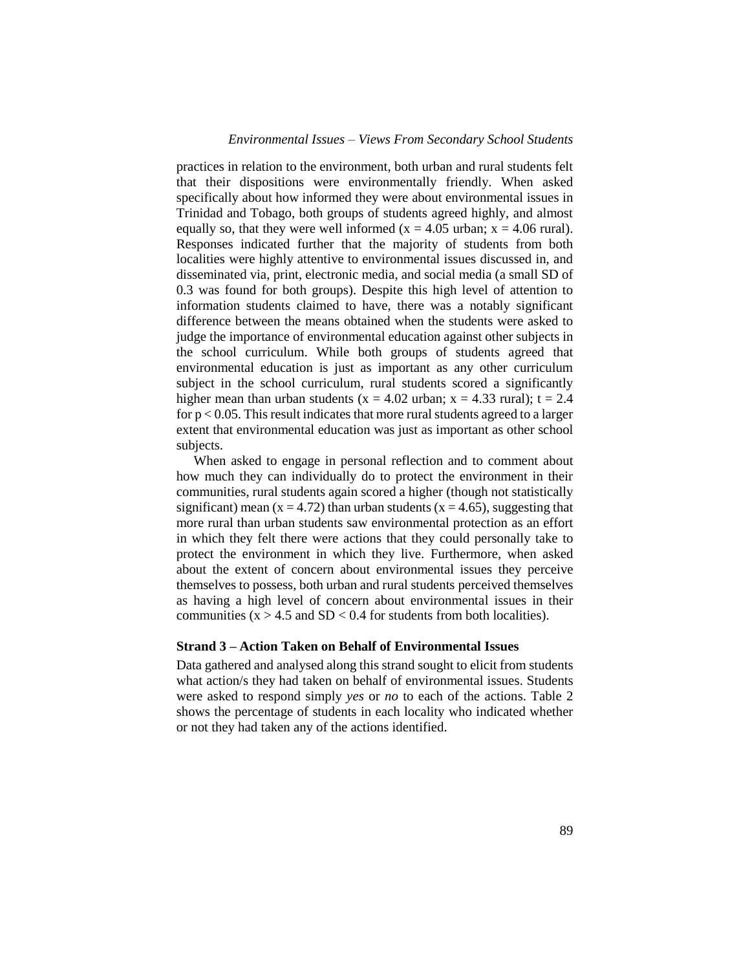practices in relation to the environment, both urban and rural students felt that their dispositions were environmentally friendly. When asked specifically about how informed they were about environmental issues in Trinidad and Tobago, both groups of students agreed highly, and almost equally so, that they were well informed ( $x = 4.05$  urban;  $x = 4.06$  rural). Responses indicated further that the majority of students from both localities were highly attentive to environmental issues discussed in, and disseminated via, print, electronic media, and social media (a small SD of 0.3 was found for both groups). Despite this high level of attention to information students claimed to have, there was a notably significant difference between the means obtained when the students were asked to judge the importance of environmental education against other subjects in the school curriculum. While both groups of students agreed that environmental education is just as important as any other curriculum subject in the school curriculum, rural students scored a significantly higher mean than urban students ( $x = 4.02$  urban;  $x = 4.33$  rural);  $t = 2.4$ for  $p < 0.05$ . This result indicates that more rural students agreed to a larger extent that environmental education was just as important as other school subjects.

When asked to engage in personal reflection and to comment about how much they can individually do to protect the environment in their communities, rural students again scored a higher (though not statistically significant) mean ( $x = 4.72$ ) than urban students ( $x = 4.65$ ), suggesting that more rural than urban students saw environmental protection as an effort in which they felt there were actions that they could personally take to protect the environment in which they live. Furthermore, when asked about the extent of concern about environmental issues they perceive themselves to possess, both urban and rural students perceived themselves as having a high level of concern about environmental issues in their communities  $(x > 4.5$  and  $SD < 0.4$  for students from both localities).

### **Strand 3 – Action Taken on Behalf of Environmental Issues**

Data gathered and analysed along this strand sought to elicit from students what action/s they had taken on behalf of environmental issues. Students were asked to respond simply *yes* or *no* to each of the actions. Table 2 shows the percentage of students in each locality who indicated whether or not they had taken any of the actions identified.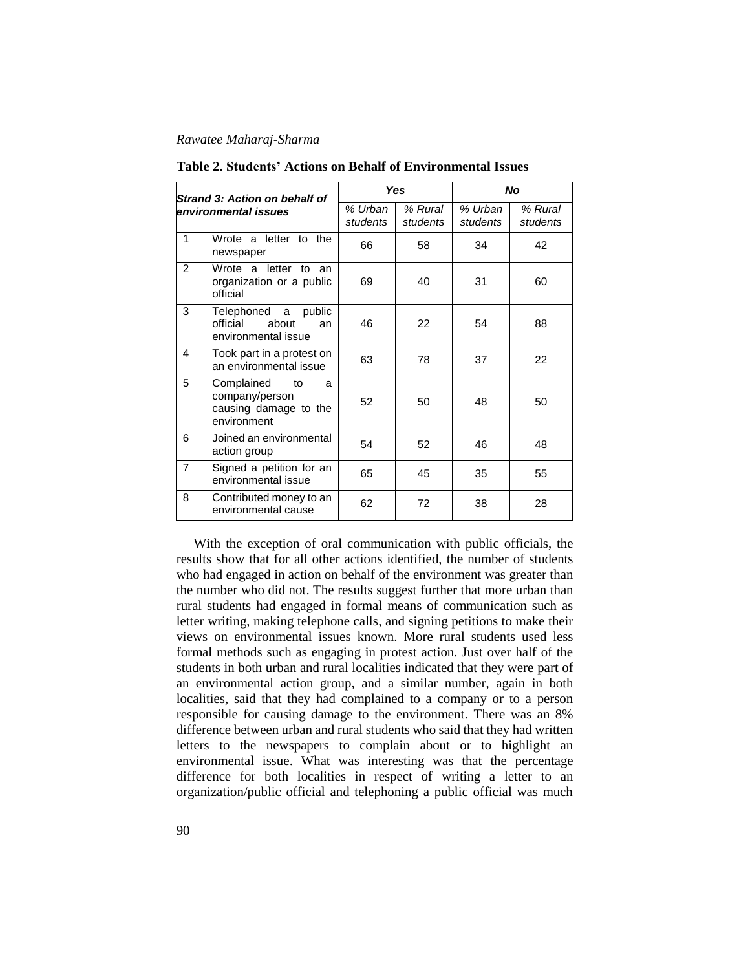| Strand 3: Action on behalf of<br>environmental issues |                                                                                 | Yes                 |                     | <b>No</b>           |                     |  |
|-------------------------------------------------------|---------------------------------------------------------------------------------|---------------------|---------------------|---------------------|---------------------|--|
|                                                       |                                                                                 | % Urban<br>students | % Rural<br>students | % Urban<br>students | % Rural<br>students |  |
| 1                                                     | Wrote a letter to the<br>newspaper                                              | 66                  | 58                  | 34                  | 42                  |  |
| $\overline{2}$                                        | Wrote a letter to<br>an<br>organization or a public<br>official                 | 69                  | 40                  | 31                  | 60                  |  |
| 3                                                     | Telephoned a<br>public<br>official<br>about<br>an<br>environmental issue        | 46                  | 22                  | 54                  | 88                  |  |
| 4                                                     | Took part in a protest on<br>an environmental issue                             | 63                  | 78                  | 37                  | 22                  |  |
| 5                                                     | Complained<br>to<br>a<br>company/person<br>causing damage to the<br>environment | 52                  | 50                  | 48                  | 50                  |  |
| 6                                                     | Joined an environmental<br>action group                                         | 54                  | 52                  | 46                  | 48                  |  |
| $\overline{7}$                                        | Signed a petition for an<br>environmental issue                                 | 65                  | 45                  | 35                  | 55                  |  |
| 8                                                     | Contributed money to an<br>environmental cause                                  | 62                  | 72                  | 38                  | 28                  |  |

**Table 2. Students' Actions on Behalf of Environmental Issues**

With the exception of oral communication with public officials, the results show that for all other actions identified, the number of students who had engaged in action on behalf of the environment was greater than the number who did not. The results suggest further that more urban than rural students had engaged in formal means of communication such as letter writing, making telephone calls, and signing petitions to make their views on environmental issues known. More rural students used less formal methods such as engaging in protest action. Just over half of the students in both urban and rural localities indicated that they were part of an environmental action group, and a similar number, again in both localities, said that they had complained to a company or to a person responsible for causing damage to the environment. There was an 8% difference between urban and rural students who said that they had written letters to the newspapers to complain about or to highlight an environmental issue. What was interesting was that the percentage difference for both localities in respect of writing a letter to an organization/public official and telephoning a public official was much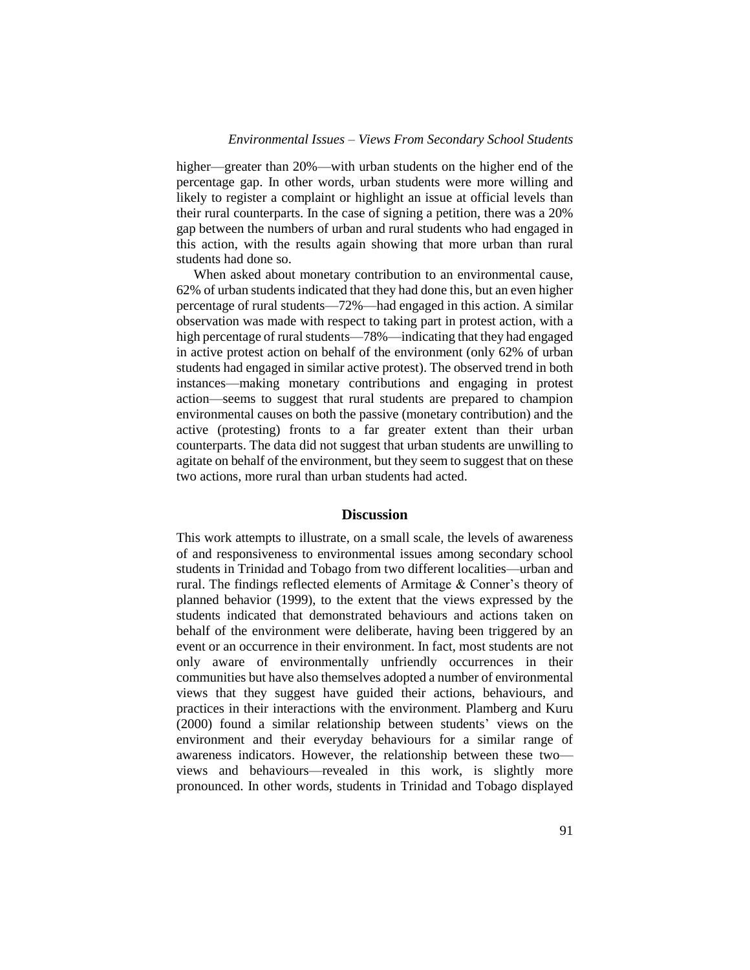higher—greater than 20%—with urban students on the higher end of the percentage gap. In other words, urban students were more willing and likely to register a complaint or highlight an issue at official levels than their rural counterparts. In the case of signing a petition, there was a 20% gap between the numbers of urban and rural students who had engaged in this action, with the results again showing that more urban than rural students had done so.

When asked about monetary contribution to an environmental cause, 62% of urban students indicated that they had done this, but an even higher percentage of rural students—72%—had engaged in this action. A similar observation was made with respect to taking part in protest action, with a high percentage of rural students—78%—indicating that they had engaged in active protest action on behalf of the environment (only 62% of urban students had engaged in similar active protest). The observed trend in both instances—making monetary contributions and engaging in protest action—seems to suggest that rural students are prepared to champion environmental causes on both the passive (monetary contribution) and the active (protesting) fronts to a far greater extent than their urban counterparts. The data did not suggest that urban students are unwilling to agitate on behalf of the environment, but they seem to suggest that on these two actions, more rural than urban students had acted.

### **Discussion**

This work attempts to illustrate, on a small scale, the levels of awareness of and responsiveness to environmental issues among secondary school students in Trinidad and Tobago from two different localities—urban and rural. The findings reflected elements of Armitage & Conner's theory of planned behavior (1999), to the extent that the views expressed by the students indicated that demonstrated behaviours and actions taken on behalf of the environment were deliberate, having been triggered by an event or an occurrence in their environment. In fact, most students are not only aware of environmentally unfriendly occurrences in their communities but have also themselves adopted a number of environmental views that they suggest have guided their actions, behaviours, and practices in their interactions with the environment. Plamberg and Kuru (2000) found a similar relationship between students' views on the environment and their everyday behaviours for a similar range of awareness indicators. However, the relationship between these two views and behaviours—revealed in this work, is slightly more pronounced. In other words, students in Trinidad and Tobago displayed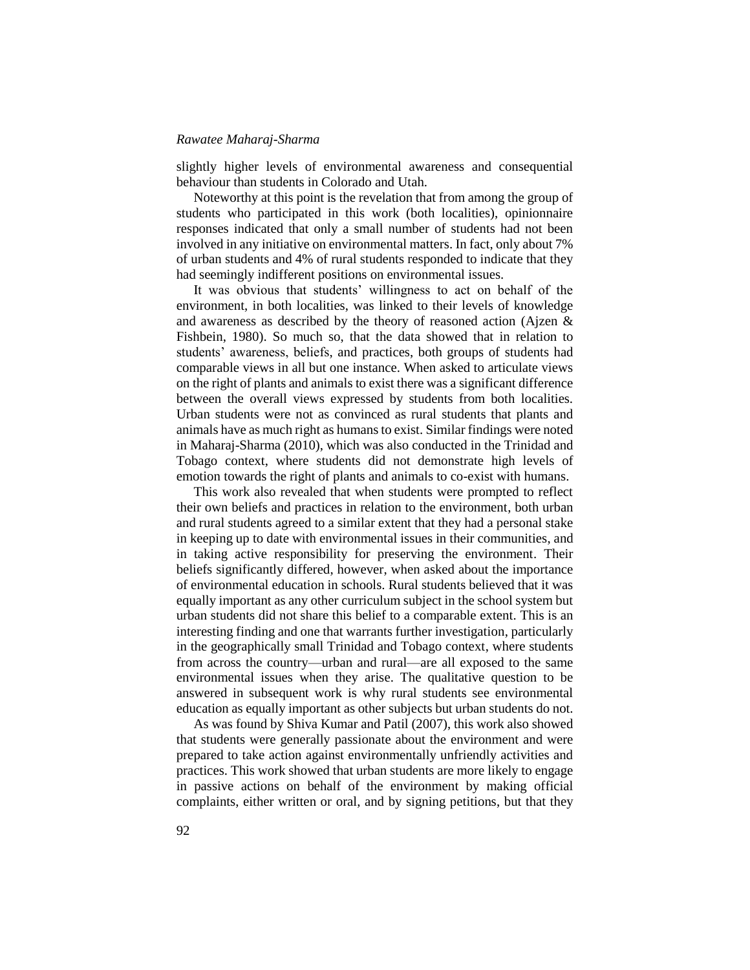slightly higher levels of environmental awareness and consequential behaviour than students in Colorado and Utah.

Noteworthy at this point is the revelation that from among the group of students who participated in this work (both localities), opinionnaire responses indicated that only a small number of students had not been involved in any initiative on environmental matters. In fact, only about 7% of urban students and 4% of rural students responded to indicate that they had seemingly indifferent positions on environmental issues.

It was obvious that students' willingness to act on behalf of the environment, in both localities, was linked to their levels of knowledge and awareness as described by the theory of reasoned action (Ajzen & Fishbein, 1980). So much so, that the data showed that in relation to students' awareness, beliefs, and practices, both groups of students had comparable views in all but one instance. When asked to articulate views on the right of plants and animals to exist there was a significant difference between the overall views expressed by students from both localities. Urban students were not as convinced as rural students that plants and animals have as much right as humans to exist. Similar findings were noted in Maharaj-Sharma (2010), which was also conducted in the Trinidad and Tobago context, where students did not demonstrate high levels of emotion towards the right of plants and animals to co-exist with humans.

This work also revealed that when students were prompted to reflect their own beliefs and practices in relation to the environment, both urban and rural students agreed to a similar extent that they had a personal stake in keeping up to date with environmental issues in their communities, and in taking active responsibility for preserving the environment. Their beliefs significantly differed, however, when asked about the importance of environmental education in schools. Rural students believed that it was equally important as any other curriculum subject in the school system but urban students did not share this belief to a comparable extent. This is an interesting finding and one that warrants further investigation, particularly in the geographically small Trinidad and Tobago context, where students from across the country—urban and rural—are all exposed to the same environmental issues when they arise. The qualitative question to be answered in subsequent work is why rural students see environmental education as equally important as other subjects but urban students do not.

As was found by Shiva Kumar and Patil (2007), this work also showed that students were generally passionate about the environment and were prepared to take action against environmentally unfriendly activities and practices. This work showed that urban students are more likely to engage in passive actions on behalf of the environment by making official complaints, either written or oral, and by signing petitions, but that they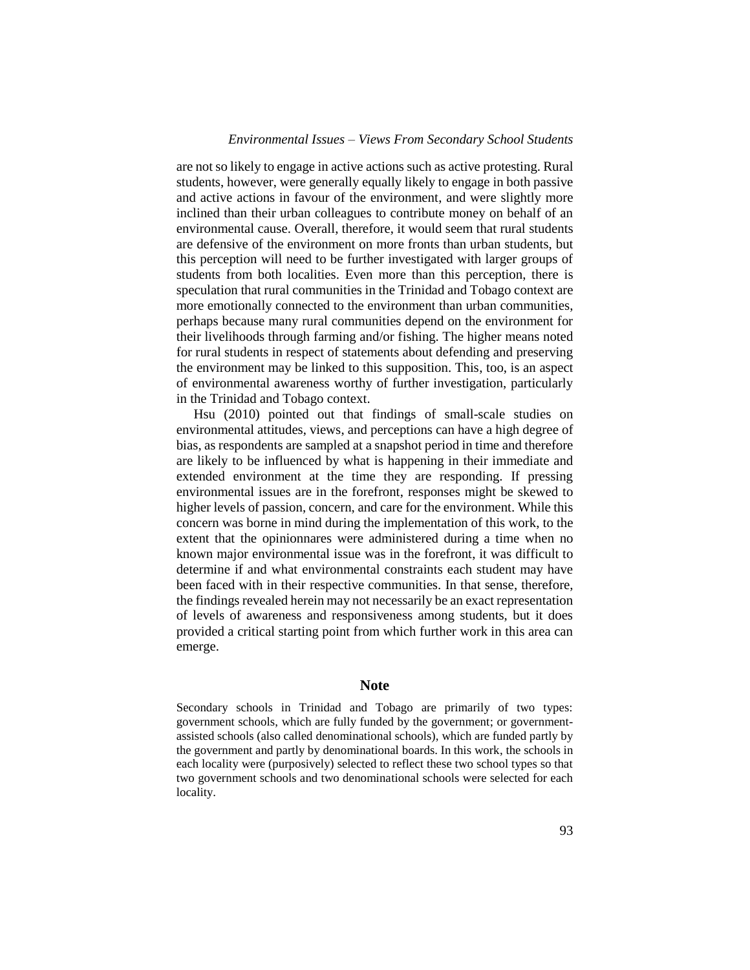are not so likely to engage in active actions such as active protesting. Rural students, however, were generally equally likely to engage in both passive and active actions in favour of the environment, and were slightly more inclined than their urban colleagues to contribute money on behalf of an environmental cause. Overall, therefore, it would seem that rural students are defensive of the environment on more fronts than urban students, but this perception will need to be further investigated with larger groups of students from both localities. Even more than this perception, there is speculation that rural communities in the Trinidad and Tobago context are more emotionally connected to the environment than urban communities, perhaps because many rural communities depend on the environment for their livelihoods through farming and/or fishing. The higher means noted for rural students in respect of statements about defending and preserving the environment may be linked to this supposition. This, too, is an aspect of environmental awareness worthy of further investigation, particularly in the Trinidad and Tobago context.

Hsu (2010) pointed out that findings of small-scale studies on environmental attitudes, views, and perceptions can have a high degree of bias, as respondents are sampled at a snapshot period in time and therefore are likely to be influenced by what is happening in their immediate and extended environment at the time they are responding. If pressing environmental issues are in the forefront, responses might be skewed to higher levels of passion, concern, and care for the environment. While this concern was borne in mind during the implementation of this work, to the extent that the opinionnares were administered during a time when no known major environmental issue was in the forefront, it was difficult to determine if and what environmental constraints each student may have been faced with in their respective communities. In that sense, therefore, the findings revealed herein may not necessarily be an exact representation of levels of awareness and responsiveness among students, but it does provided a critical starting point from which further work in this area can emerge.

### **Note**

Secondary schools in Trinidad and Tobago are primarily of two types: government schools, which are fully funded by the government; or governmentassisted schools (also called denominational schools), which are funded partly by the government and partly by denominational boards. In this work, the schools in each locality were (purposively) selected to reflect these two school types so that two government schools and two denominational schools were selected for each locality.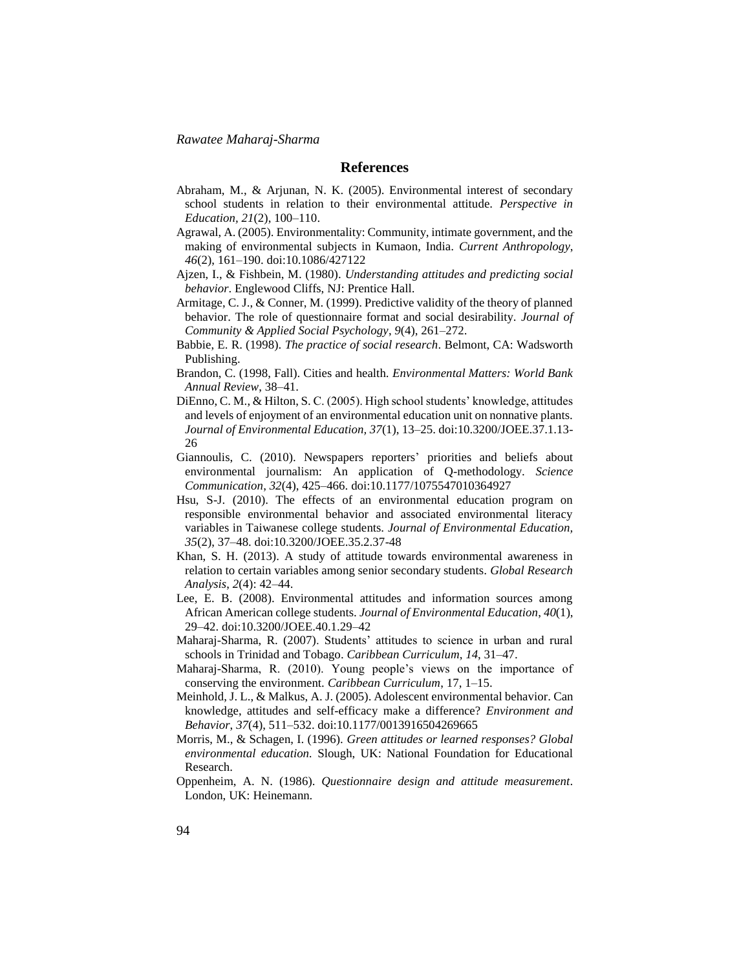### **References**

- Abraham, M., & Arjunan, N. K. (2005). Environmental interest of secondary school students in relation to their environmental attitude. *Perspective in Education, 21*(2), 100–110.
- Agrawal, A. (2005). Environmentality: Community, intimate government, and the making of environmental subjects in Kumaon, India*. Current Anthropology*, *46*(2), 161–190. doi:10.1086/427122
- Ajzen, I., & Fishbein, M. (1980). *Understanding attitudes and predicting social behavior*. Englewood Cliffs, NJ: Prentice Hall.
- Armitage, C. J., & Conner, M. (1999). Predictive validity of the theory of planned behavior. The role of questionnaire format and social desirability. *Journal of Community & Applied Social Psychology*, *9*(4), 261–272.
- Babbie, E. R. (1998). *The practice of social research*. Belmont, CA: Wadsworth Publishing.
- Brandon, C. (1998, Fall). Cities and health. *Environmental Matters: World Bank Annual Review*, 38–41.
- DiEnno, C. M., & Hilton, S. C. (2005). High school students' knowledge, attitudes and levels of enjoyment of an environmental education unit on nonnative plants. *Journal of Environmental Education, 37*(1), 13–25. doi:10.3200/JOEE.37.1.13- 26
- Giannoulis, C. (2010). Newspapers reporters' priorities and beliefs about environmental journalism: An application of Q-methodology. *Science Communication*, *32*(4), 425–466. doi:10.1177/1075547010364927
- Hsu, S-J. (2010). The effects of an environmental education program on responsible environmental behavior and associated environmental literacy variables in Taiwanese college students. *Journal of Environmental Education, 35*(2), 37–48. doi:10.3200/JOEE.35.2.37-48
- Khan, S. H. (2013). A study of attitude towards environmental awareness in relation to certain variables among senior secondary students*. Global Research Analysis*, *2*(4): 42–44.
- Lee, E. B. (2008). Environmental attitudes and information sources among African American college students. *Journal of Environmental Education*, *40*(1), 29–42. doi:10.3200/JOEE.40.1.29–42
- Maharaj-Sharma, R. (2007). Students' attitudes to science in urban and rural schools in Trinidad and Tobago. *Caribbean Curriculum*, *14*, 31–47.
- Maharaj-Sharma, R. (2010). Young people's views on the importance of conserving the environment. *Caribbean Curriculum*, 17, 1–15.
- Meinhold, J. L., & Malkus, A. J. (2005). Adolescent environmental behavior. Can knowledge, attitudes and self-efficacy make a difference? *Environment and Behavior*, *37*(4), 511–532. doi:10.1177/0013916504269665
- Morris, M., & Schagen, I. (1996). *Green attitudes or learned responses? Global environmental education.* Slough, UK: National Foundation for Educational Research.
- Oppenheim, A. N. (1986). *Questionnaire design and attitude measurement*. London, UK: Heinemann.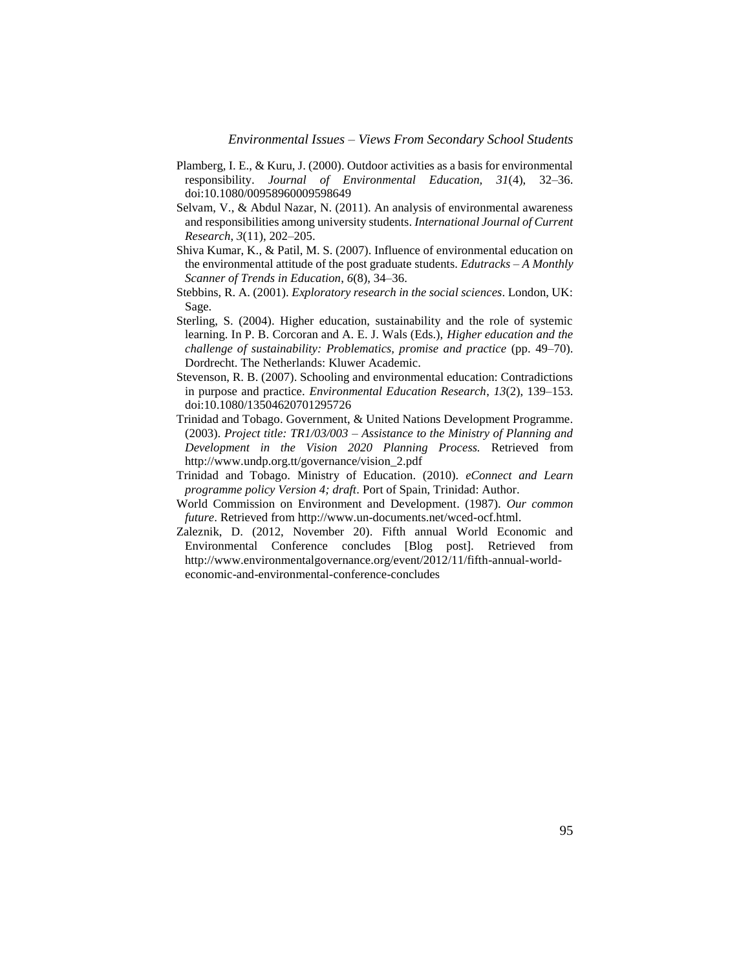- Plamberg, I. E., & Kuru, J. (2000). Outdoor activities as a basis for environmental responsibility. *Journal of Environmental Education, 31*(4), 32–36. doi:10.1080/00958960009598649
- Selvam, V., & Abdul Nazar, N. (2011). An analysis of environmental awareness and responsibilities among university students. *International Journal of Current Research*, *3*(11), 202–205.
- Shiva Kumar, K., & Patil, M. S. (2007). Influence of environmental education on the environmental attitude of the post graduate students. *Edutracks – A Monthly Scanner of Trends in Education*, *6*(8), 34–36.
- Stebbins, R. A. (2001). *Exploratory research in the social sciences*. London, UK: Sage.
- Sterling, S. (2004). Higher education, sustainability and the role of systemic learning. In P. B. Corcoran and A. E. J. Wals (Eds.), *Higher education and the challenge of sustainability: Problematics, promise and practice* (pp. 49–70). Dordrecht. The Netherlands: Kluwer Academic.
- Stevenson, R. B. (2007). Schooling and environmental education: Contradictions in purpose and practice. *Environmental Education Research*, *13*(2), 139–153. doi:10.1080/13504620701295726
- Trinidad and Tobago. Government, & United Nations Development Programme. (2003). *Project title: TR1/03/003 – Assistance to the Ministry of Planning and Development in the Vision 2020 Planning Process.* Retrieved from http://www.undp.org.tt/governance/vision\_2.pdf
- Trinidad and Tobago. Ministry of Education. (2010). *eConnect and Learn programme policy Version 4; draft*. Port of Spain, Trinidad: Author.
- World Commission on Environment and Development. (1987). *Our common future*. Retrieved from http://www.un-documents.net/wced-ocf.html.
- Zaleznik, D. (2012, November 20). Fifth annual World Economic and Environmental Conference concludes [Blog post]*.* Retrieved from http://www.environmentalgovernance.org/event/2012/11/fifth-annual-worldeconomic-and-environmental-conference-concludes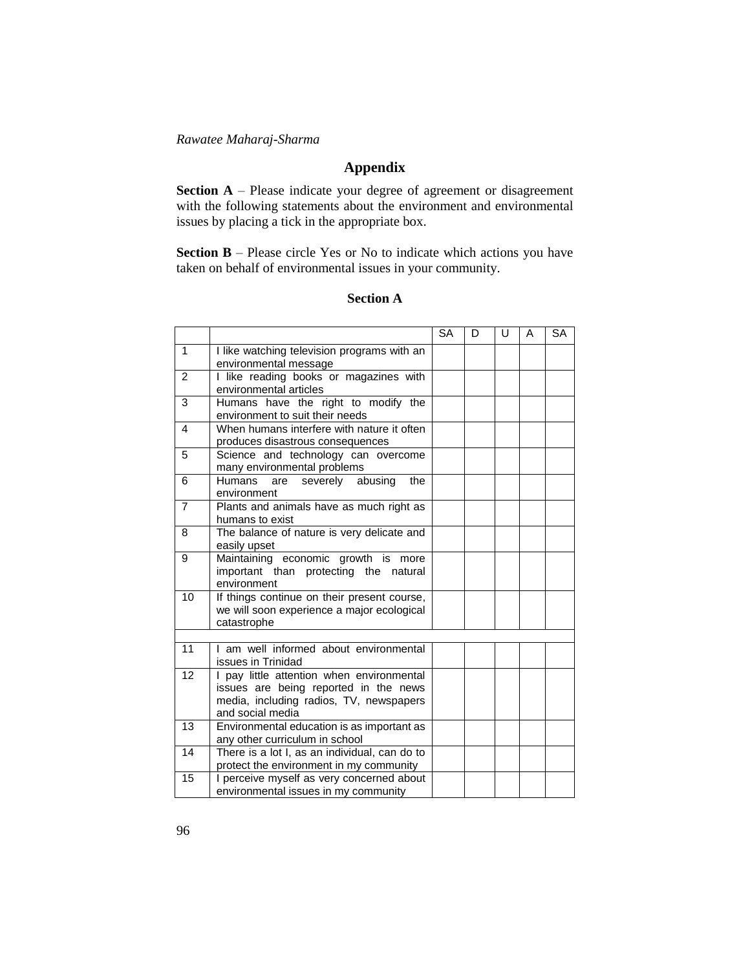# **Appendix**

**Section A** – Please indicate your degree of agreement or disagreement with the following statements about the environment and environmental issues by placing a tick in the appropriate box.

**Section B** – Please circle Yes or No to indicate which actions you have taken on behalf of environmental issues in your community.

## **Section A**

|                 |                                                                              | <b>SA</b> | D | U | A | <b>SA</b> |
|-----------------|------------------------------------------------------------------------------|-----------|---|---|---|-----------|
| $\mathbf{1}$    | I like watching television programs with an                                  |           |   |   |   |           |
|                 | environmental message                                                        |           |   |   |   |           |
| 2               | I like reading books or magazines with                                       |           |   |   |   |           |
|                 | environmental articles                                                       |           |   |   |   |           |
| 3               | Humans have the right to modify the                                          |           |   |   |   |           |
|                 | environment to suit their needs                                              |           |   |   |   |           |
| 4               | When humans interfere with nature it often                                   |           |   |   |   |           |
|                 | produces disastrous consequences                                             |           |   |   |   |           |
| 5               | Science and technology can overcome                                          |           |   |   |   |           |
|                 | many environmental problems                                                  |           |   |   |   |           |
| 6               | Humans<br>severely abusing<br>the<br>are                                     |           |   |   |   |           |
|                 | environment                                                                  |           |   |   |   |           |
| $\overline{7}$  | Plants and animals have as much right as                                     |           |   |   |   |           |
|                 | humans to exist                                                              |           |   |   |   |           |
| 8               | The balance of nature is very delicate and                                   |           |   |   |   |           |
| 9               | easily upset                                                                 |           |   |   |   |           |
|                 | Maintaining economic growth is more<br>important than protecting the natural |           |   |   |   |           |
|                 | environment                                                                  |           |   |   |   |           |
| 10              | If things continue on their present course,                                  |           |   |   |   |           |
|                 | we will soon experience a major ecological                                   |           |   |   |   |           |
|                 | catastrophe                                                                  |           |   |   |   |           |
|                 |                                                                              |           |   |   |   |           |
| 11              | I am well informed about environmental                                       |           |   |   |   |           |
|                 | issues in Trinidad                                                           |           |   |   |   |           |
| 12              | I pay little attention when environmental                                    |           |   |   |   |           |
|                 | issues are being reported in the news                                        |           |   |   |   |           |
|                 | media, including radios, TV, newspapers                                      |           |   |   |   |           |
|                 | and social media                                                             |           |   |   |   |           |
| $\overline{13}$ | Environmental education is as important as                                   |           |   |   |   |           |
|                 | any other curriculum in school                                               |           |   |   |   |           |
| 14              | There is a lot I, as an individual, can do to                                |           |   |   |   |           |
|                 | protect the environment in my community                                      |           |   |   |   |           |
| 15              | I perceive myself as very concerned about                                    |           |   |   |   |           |
|                 | environmental issues in my community                                         |           |   |   |   |           |